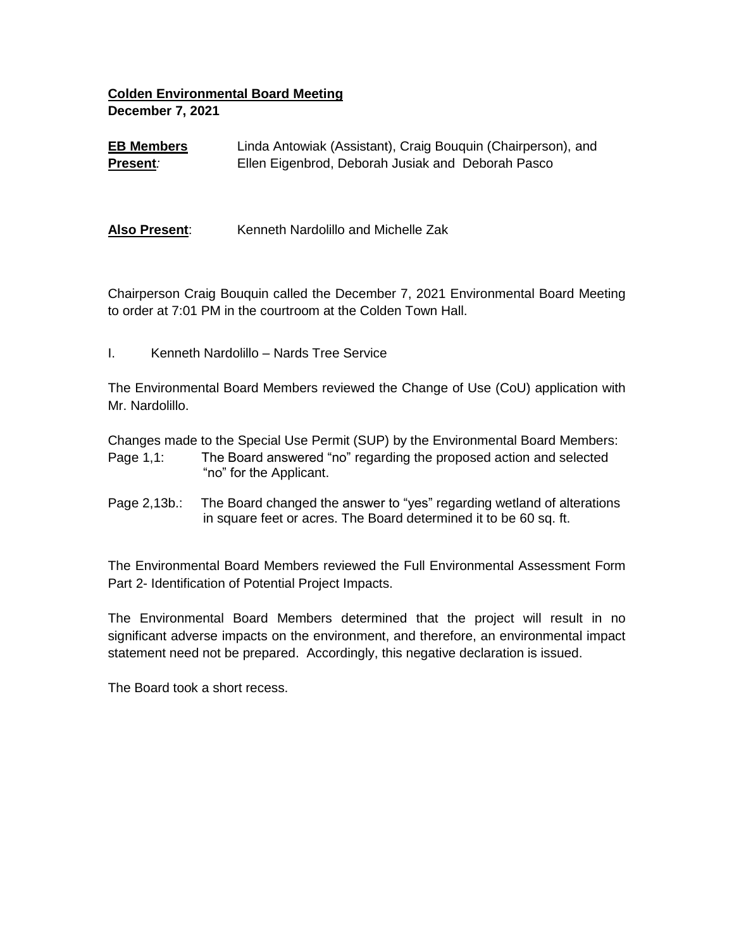## **Colden Environmental Board Meeting December 7, 2021**

**EB Members Present***:* Linda Antowiak (Assistant), Craig Bouquin (Chairperson), and Ellen Eigenbrod, Deborah Jusiak andDeborah Pasco

Also Present: Kenneth Nardolillo and Michelle Zak

Chairperson Craig Bouquin called the December 7, 2021 Environmental Board Meeting to order at 7:01 PM in the courtroom at the Colden Town Hall.

I. Kenneth Nardolillo – Nards Tree Service

The Environmental Board Members reviewed the Change of Use (CoU) application with Mr. Nardolillo.

Changes made to the Special Use Permit (SUP) by the Environmental Board Members: Page 1,1: The Board answered "no" regarding the proposed action and selected "no" for the Applicant.

Page 2,13b.: The Board changed the answer to "yes" regarding wetland of alterations in square feet or acres. The Board determined it to be 60 sq. ft.

The Environmental Board Members reviewed the Full Environmental Assessment Form Part 2- Identification of Potential Project Impacts.

The Environmental Board Members determined that the project will result in no significant adverse impacts on the environment, and therefore, an environmental impact statement need not be prepared. Accordingly, this negative declaration is issued.

The Board took a short recess.